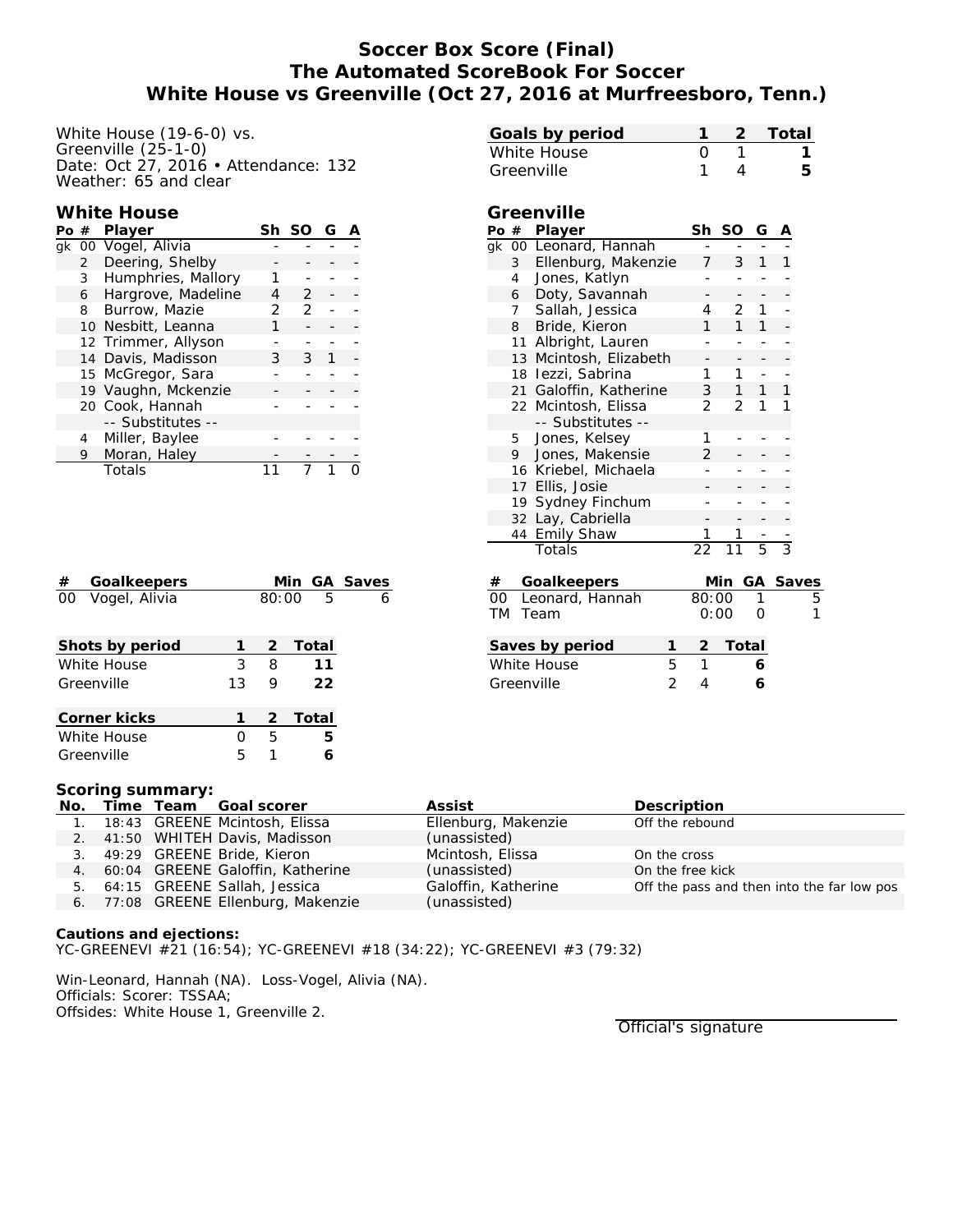# **Soccer Box Score (Final) The Automated ScoreBook For Soccer White House vs Greenville (Oct 27, 2016 at Murfreesboro, Tenn.)**

White House (19-6-0) vs. Greenville (25-1-0) Date: Oct 27, 2016 • Attendance: 132 Weather: 65 and clear

## **White House**

| Po # |                | Player              | Sh. | -SO           | G |  |
|------|----------------|---------------------|-----|---------------|---|--|
|      |                | gk 00 Vogel, Alivia |     |               |   |  |
|      | $\overline{2}$ | Deering, Shelby     |     |               |   |  |
|      | 3              | Humphries, Mallory  |     |               |   |  |
|      | 6              | Hargrove, Madeline  |     | $\mathcal{P}$ |   |  |
|      | 8              | Burrow, Mazie       |     | 2             |   |  |
|      |                | 10 Nesbitt, Leanna  |     |               |   |  |
|      |                | 12 Trimmer, Allyson |     |               |   |  |
|      |                | 14 Davis, Madisson  | 3   | 3             |   |  |
|      |                | 15 McGregor, Sara   |     |               |   |  |
|      |                | 19 Vaughn, Mckenzie |     |               |   |  |
|      |                | 20 Cook, Hannah     |     |               |   |  |
|      |                | -- Substitutes --   |     |               |   |  |
|      | 4              | Miller, Baylee      |     |               |   |  |
|      | 9              | Moran, Haley        |     |               |   |  |
|      |                | Totals              |     |               |   |  |

| Goalkeepers<br>#    |    |       |         | Min GA Saves |
|---------------------|----|-------|---------|--------------|
| 00<br>Voqel, Alivia |    | 80:00 | -5      | 6            |
|                     |    |       |         |              |
| Shots by period     |    | 2     | Total   |              |
| White House         | 3  | 8     | 11      |              |
| Greenville          | 13 | 9     | 22      |              |
|                     |    |       |         |              |
| Corner kicks        |    |       | 2 Total |              |
| White House         |    | 5     | 5       |              |
| Greenville          | 5  | 1     |         |              |

| Goals by period                 |                |                | Total         |       |
|---------------------------------|----------------|----------------|---------------|-------|
| White House                     | 0              | 1              |               |       |
| Greenville                      | 1              | 4              |               | 5     |
|                                 |                |                |               |       |
| Greenville                      |                |                |               |       |
| Po # Player                     | Sh             | SO.            | G             |       |
| gk 00 Leonard, Hannah           |                |                |               |       |
| 3<br>Ellenburg, Makenzie        | 7              | 3              | 1             |       |
| Jones, Katlyn<br>$\overline{4}$ |                |                |               |       |
| Doty, Savannah<br>6             |                |                |               |       |
| Sallah, Jessica<br>7            | 4              | $\overline{2}$ | 1             |       |
| Bride, Kieron<br>8              | 1              | $\mathbf{1}$   | 1             |       |
| 11 Albright, Lauren             |                |                |               |       |
| 13 Mcintosh, Elizabeth          |                |                |               |       |
| 18 lezzi, Sabrina               | 1              | $\mathbf{1}$   | $\frac{1}{2}$ |       |
| 21 Galoffin, Katherine          | 3              | $1 \quad$      | $1 \quad$     | 1     |
| 22 Mcintosh, Elissa             | $\overline{2}$ | $\overline{2}$ | 1             | 1     |
| -- Substitutes --               |                |                |               |       |
| Jones, Kelsey<br>5              | 1              |                |               |       |
| 9<br>Jones, Makensie            | 2              |                |               |       |
| 16 Kriebel, Michaela            |                |                |               |       |
| 17 Ellis, Josie                 |                |                |               |       |
| 19 Sydney Finchum               |                |                |               |       |
| 32 Lay, Cabriella               |                |                |               |       |
| 44 Emily Shaw                   |                |                |               |       |
| Totals                          | $\overline{2}$ |                | 5             | 3     |
| Goalkeepers<br>#                |                | Min            | GA.           | Saves |
| Leonard, Hannah<br>OO.          | 80:00          |                | 1             |       |
| Team<br>TM                      | 0:00           |                | Ω             |       |
| Saves by period                 | 2              | Total          |               |       |
| 5<br>White House                | 1              |                | 6             |       |
| $\overline{2}$<br>Greenville    | 4              |                | 6             |       |
|                                 |                |                |               |       |

#### **Scoring summary:**

| No. |  | Time Team Goal scorer               | Assist              | Description                                |
|-----|--|-------------------------------------|---------------------|--------------------------------------------|
| 1.  |  | 18:43 GREENE Mcintosh, Elissa       | Ellenburg, Makenzie | Off the rebound                            |
|     |  | 2. 41:50 WHITEH Davis, Madisson     | (unassisted)        |                                            |
|     |  | 3. 49:29 GREENE Bride, Kieron       | Mcintosh, Elissa    | On the cross                               |
|     |  | 4. 60:04 GREENE Galoffin, Katherine | (unassisted)        | On the free kick                           |
|     |  | 5. 64:15 GREENE Sallah, Jessica     | Galoffin, Katherine | Off the pass and then into the far low pos |
| 6.  |  | 77:08 GREENE Ellenburg, Makenzie    | (unassisted)        |                                            |

**Cautions and ejections:** YC-GREENEVI #21 (16:54); YC-GREENEVI #18 (34:22); YC-GREENEVI #3 (79:32)

Win-Leonard, Hannah (NA). Loss-Vogel, Alivia (NA). Officials: Scorer: TSSAA; Offsides: White House 1, Greenville 2.

Official's signature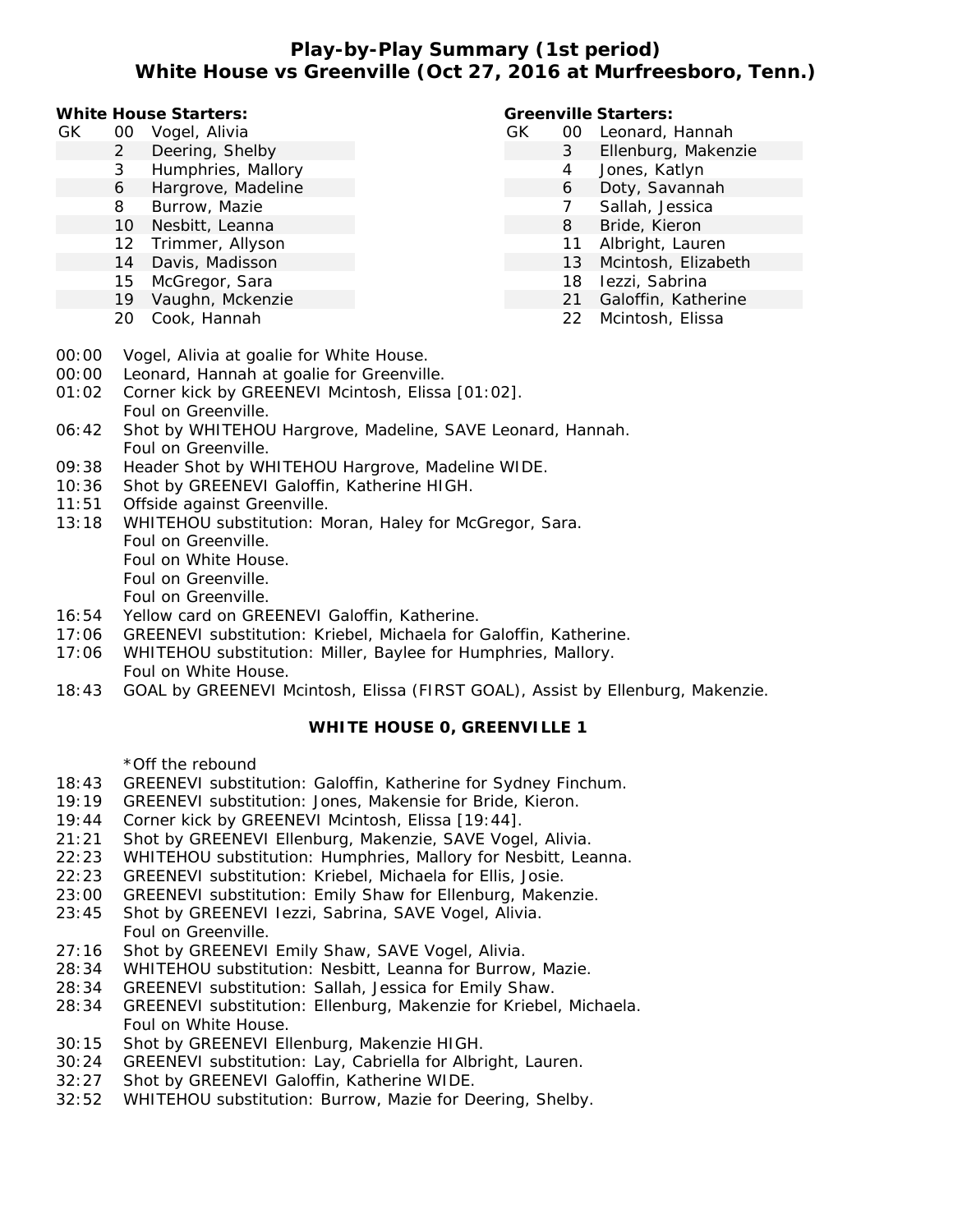## **Play-by-Play Summary (1st period) White House vs Greenville (Oct 27, 2016 at Murfreesboro, Tenn.)**

**White House Starters:**

- GK 00 Vogel, Alivia
	- 2 Deering, Shelby
	- 3 Humphries, Mallory 6 Hargrove, Madeline
	-
	- 8 Burrow, Mazie
	- 10 Nesbitt, Leanna
	- 12 Trimmer, Allyson
	- 14 Davis, Madisson
	- 15 McGregor, Sara
	- 19 Vaughn, Mckenzie
	- 20 Cook, Hannah

## **Greenville Starters:**

- GK 00 Leonard, Hannah
	- 3 Ellenburg, Makenzie
	- 4 Jones, Katlyn
	- 6 Doty, Savannah
	- 7 Sallah, Jessica
	- 8 Bride, Kieron
	- 11 Albright, Lauren
	- 13 Mcintosh, Elizabeth
	- 18 Iezzi, Sabrina
	- 21 Galoffin, Katherine
		- 22 Mcintosh, Elissa

- 00:00 Vogel, Alivia at goalie for White House.
- 00:00 Leonard, Hannah at goalie for Greenville.
- 01:02 Corner kick by GREENEVI Mcintosh, Elissa [01:02]. Foul on Greenville.
- 06:42 Shot by WHITEHOU Hargrove, Madeline, SAVE Leonard, Hannah. Foul on Greenville.
- 09:38 Header Shot by WHITEHOU Hargrove, Madeline WIDE.
- 10:36 Shot by GREENEVI Galoffin, Katherine HIGH.
- 11:51 Offside against Greenville.
- 13:18 WHITEHOU substitution: Moran, Haley for McGregor, Sara. Foul on Greenville. Foul on White House. Foul on Greenville. Foul on Greenville.
- 16:54 Yellow card on GREENEVI Galoffin, Katherine.
- 17:06 GREENEVI substitution: Kriebel, Michaela for Galoffin, Katherine.
- 17:06 WHITEHOU substitution: Miller, Baylee for Humphries, Mallory. Foul on White House.
- 18:43 GOAL by GREENEVI Mcintosh, Elissa (FIRST GOAL), Assist by Ellenburg, Makenzie.

**WHITE HOUSE 0, GREENVILLE 1**

\*Off the rebound

- 18:43 GREENEVI substitution: Galoffin, Katherine for Sydney Finchum.
- 19:19 GREENEVI substitution: Jones, Makensie for Bride, Kieron.
- 19:44 Corner kick by GREENEVI Mcintosh, Elissa [19:44].
- 21:21 Shot by GREENEVI Ellenburg, Makenzie, SAVE Vogel, Alivia.
- 22:23 WHITEHOU substitution: Humphries, Mallory for Nesbitt, Leanna.
- 22:23 GREENEVI substitution: Kriebel, Michaela for Ellis, Josie.
- 23:00 GREENEVI substitution: Emily Shaw for Ellenburg, Makenzie.
- 23:45 Shot by GREENEVI Iezzi, Sabrina, SAVE Vogel, Alivia. Foul on Greenville.
- 27:16 Shot by GREENEVI Emily Shaw, SAVE Vogel, Alivia.
- 28:34 WHITEHOU substitution: Nesbitt, Leanna for Burrow, Mazie.
- 28:34 GREENEVI substitution: Sallah, Jessica for Emily Shaw.
- 28:34 GREENEVI substitution: Ellenburg, Makenzie for Kriebel, Michaela. Foul on White House.
- 30:15 Shot by GREENEVI Ellenburg, Makenzie HIGH.
- 30:24 GREENEVI substitution: Lay, Cabriella for Albright, Lauren.
- 32:27 Shot by GREENEVI Galoffin, Katherine WIDE.
- 32:52 WHITEHOU substitution: Burrow, Mazie for Deering, Shelby.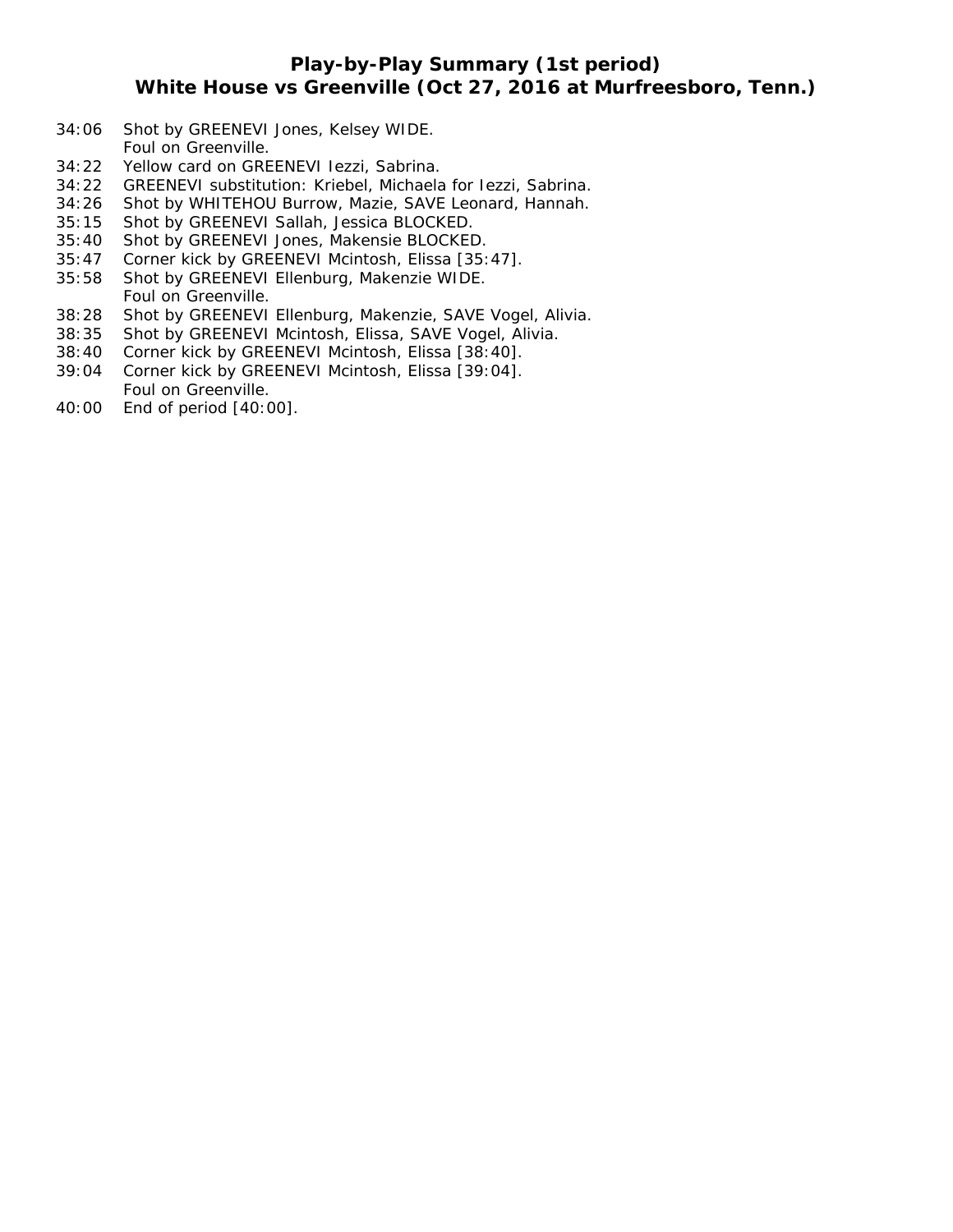## **Play-by-Play Summary (1st period) White House vs Greenville (Oct 27, 2016 at Murfreesboro, Tenn.)**

- 34:06 Shot by GREENEVI Jones, Kelsey WIDE. Foul on Greenville.
- 34:22 Yellow card on GREENEVI Iezzi, Sabrina.
- 34:22 GREENEVI substitution: Kriebel, Michaela for Iezzi, Sabrina.
- 34:26 Shot by WHITEHOU Burrow, Mazie, SAVE Leonard, Hannah.
- 35:15 Shot by GREENEVI Sallah, Jessica BLOCKED.
- 35:40 Shot by GREENEVI Jones, Makensie BLOCKED.
- 35:47 Corner kick by GREENEVI Mcintosh, Elissa [35:47].
- 35:58 Shot by GREENEVI Ellenburg, Makenzie WIDE. Foul on Greenville.
- 38:28 Shot by GREENEVI Ellenburg, Makenzie, SAVE Vogel, Alivia.
- 38:35 Shot by GREENEVI Mcintosh, Elissa, SAVE Vogel, Alivia.
- 38:40 Corner kick by GREENEVI Mcintosh, Elissa [38:40].
- 39:04 Corner kick by GREENEVI Mcintosh, Elissa [39:04]. Foul on Greenville.
- 40:00 End of period [40:00].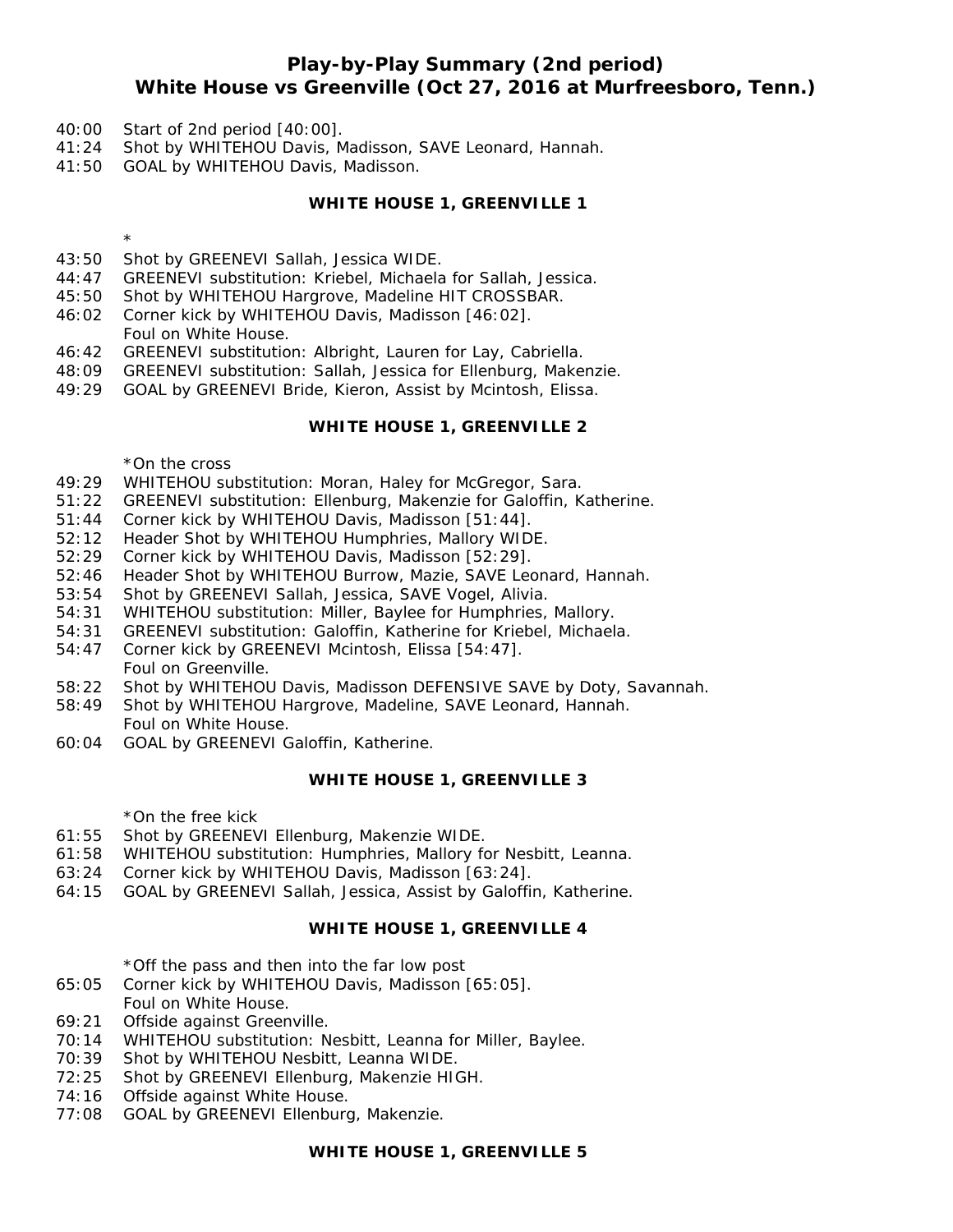## **Play-by-Play Summary (2nd period) White House vs Greenville (Oct 27, 2016 at Murfreesboro, Tenn.)**

- 40:00 Start of 2nd period [40:00].
- 41:24 Shot by WHITEHOU Davis, Madisson, SAVE Leonard, Hannah.
- 41:50 GOAL by WHITEHOU Davis, Madisson.

**WHITE HOUSE 1, GREENVILLE 1**

- 43:50 Shot by GREENEVI Sallah, Jessica WIDE.
- 44:47 GREENEVI substitution: Kriebel, Michaela for Sallah, Jessica.
- 45:50 Shot by WHITEHOU Hargrove, Madeline HIT CROSSBAR.
- 46:02 Corner kick by WHITEHOU Davis, Madisson [46:02]. Foul on White House.
- 46:42 GREENEVI substitution: Albright, Lauren for Lay, Cabriella.
- 48:09 GREENEVI substitution: Sallah, Jessica for Ellenburg, Makenzie.
- 49:29 GOAL by GREENEVI Bride, Kieron, Assist by Mcintosh, Elissa.

### **WHITE HOUSE 1, GREENVILLE 2**

#### \*On the cross

\*

- 49:29 WHITEHOU substitution: Moran, Haley for McGregor, Sara.
- 51:22 GREENEVI substitution: Ellenburg, Makenzie for Galoffin, Katherine.
- 51:44 Corner kick by WHITEHOU Davis, Madisson [51:44].
- 52:12 Header Shot by WHITEHOU Humphries, Mallory WIDE.
- 52:29 Corner kick by WHITEHOU Davis, Madisson [52:29].
- 52:46 Header Shot by WHITEHOU Burrow, Mazie, SAVE Leonard, Hannah.
- 53:54 Shot by GREENEVI Sallah, Jessica, SAVE Vogel, Alivia.
- 54:31 WHITEHOU substitution: Miller, Baylee for Humphries, Mallory.
- 54:31 GREENEVI substitution: Galoffin, Katherine for Kriebel, Michaela.
- 54:47 Corner kick by GREENEVI Mcintosh, Elissa [54:47]. Foul on Greenville.
- 58:22 Shot by WHITEHOU Davis, Madisson DEFENSIVE SAVE by Doty, Savannah.
- 58:49 Shot by WHITEHOU Hargrove, Madeline, SAVE Leonard, Hannah. Foul on White House.
- 60:04 GOAL by GREENEVI Galoffin, Katherine.

#### **WHITE HOUSE 1, GREENVILLE 3**

\*On the free kick

- 61:55 Shot by GREENEVI Ellenburg, Makenzie WIDE.
- 61:58 WHITEHOU substitution: Humphries, Mallory for Nesbitt, Leanna.
- 63:24 Corner kick by WHITEHOU Davis, Madisson [63:24].
- 64:15 GOAL by GREENEVI Sallah, Jessica, Assist by Galoffin, Katherine.

#### **WHITE HOUSE 1, GREENVILLE 4**

\*Off the pass and then into the far low post

- 65:05 Corner kick by WHITEHOU Davis, Madisson [65:05].
- Foul on White House.
- 69:21 Offside against Greenville.
- 70:14 WHITEHOU substitution: Nesbitt, Leanna for Miller, Baylee.
- 70:39 Shot by WHITEHOU Nesbitt, Leanna WIDE.
- 72:25 Shot by GREENEVI Ellenburg, Makenzie HIGH.
- 74:16 Offside against White House.
- 77:08 GOAL by GREENEVI Ellenburg, Makenzie.